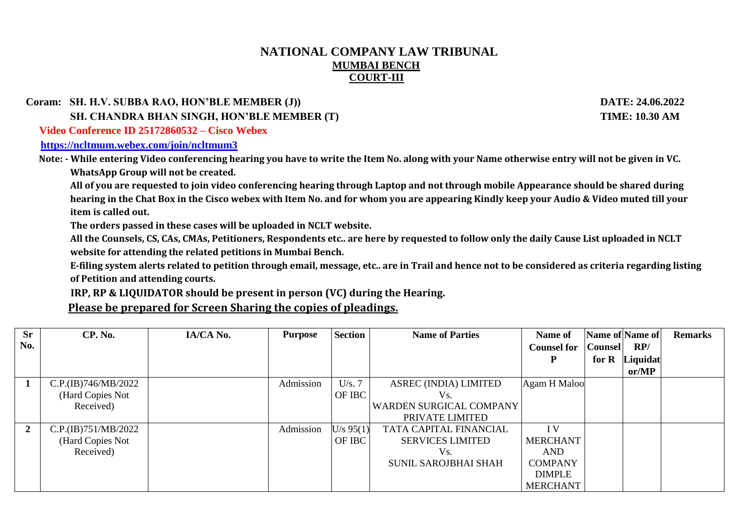## **NATIONAL COMPANY LAW TRIBUNAL MUMBAI BENCH COURT-III**

 **Coram: SH. H.V. SUBBA RAO, HON'BLE MEMBER (J)) DATE: 24.06.2022**

 **SH. CHANDRA BHAN SINGH, HON'BLE MEMBER (T) TIME: 10.30 AM**

 **Video Conference ID 25172860532 – Cisco Webex** 

**<https://ncltmum.webex.com/join/ncltmum3>**

 **Note: - While entering Video conferencing hearing you have to write the Item No. along with your Name otherwise entry will not be given in VC. WhatsApp Group will not be created.**

 **All of you are requested to join video conferencing hearing through Laptop and not through mobile Appearance should be shared during hearing in the Chat Box in the Cisco webex with Item No. and for whom you are appearing Kindly keep your Audio & Video muted till your item is called out.**

**The orders passed in these cases will be uploaded in NCLT website.**

**All the Counsels, CS, CAs, CMAs, Petitioners, Respondents etc.. are here by requested to follow only the daily Cause List uploaded in NCLT website for attending the related petitions in Mumbai Bench.**

**E-filing system alerts related to petition through email, message, etc.. are in Trail and hence not to be considered as criteria regarding listing of Petition and attending courts.**

 **IRP, RP & LIQUIDATOR should be present in person (VC) during the Hearing.**

**Please be prepared for Screen Sharing the copies of pleadings.**

| <b>Sr</b> | CP. No.             | IA/CA No. | <b>Purpose</b> | <b>Section</b> | <b>Name of Parties</b>         | Name of                 | Name of Name of |          | <b>Remarks</b> |
|-----------|---------------------|-----------|----------------|----------------|--------------------------------|-------------------------|-----------------|----------|----------------|
| No.       |                     |           |                |                |                                | <b>Counsel for</b>      | <b>Counsel</b>  | RP/      |                |
|           |                     |           |                |                |                                | P                       | for $R$         | Liquidat |                |
|           |                     |           |                |                |                                |                         |                 | or/MP    |                |
|           | C.P.(IB)746/MB/2022 |           | Admission      | U/s.7          | ASREC (INDIA) LIMITED          | Agam H Maloo            |                 |          |                |
|           | (Hard Copies Not    |           |                | OF IBC         | Vs.                            |                         |                 |          |                |
|           | Received)           |           |                |                | <b>WARDEN SURGICAL COMPANY</b> |                         |                 |          |                |
|           |                     |           |                |                | PRIVATE LIMITED                |                         |                 |          |                |
| 2         | C.P.(IB)751/MB/2022 |           | Admission      | U/s 95(1)      | TATA CAPITAL FINANCIAL         | $\mathbf{I} \mathbf{V}$ |                 |          |                |
|           | (Hard Copies Not    |           |                | OF IBC         | <b>SERVICES LIMITED</b>        | <b>MERCHANT</b>         |                 |          |                |
|           | Received)           |           |                |                | Vs.                            | <b>AND</b>              |                 |          |                |
|           |                     |           |                |                | <b>SUNIL SAROJBHAI SHAH</b>    | <b>COMPANY</b>          |                 |          |                |
|           |                     |           |                |                |                                | <b>DIMPLE</b>           |                 |          |                |
|           |                     |           |                |                |                                | <b>MERCHANT</b>         |                 |          |                |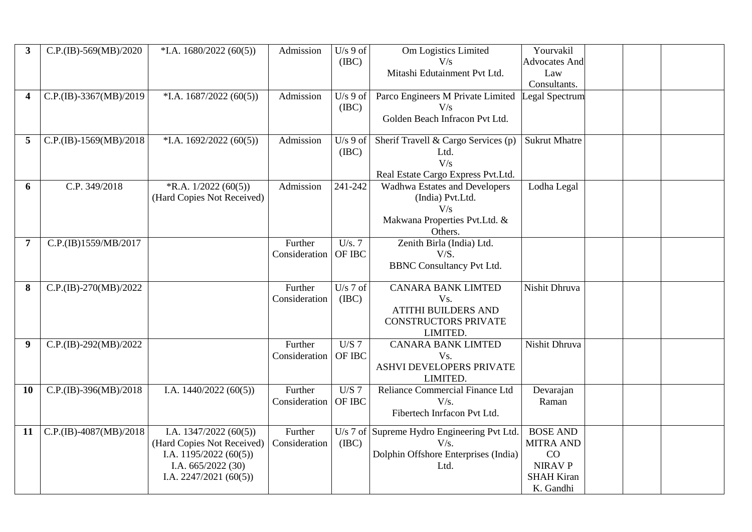| $\overline{\mathbf{3}}$ | $C.P.(IB)-569(MB)/2020$ | $*$ I.A. 1680/2022 (60(5))                                                                                                        | Admission                | $U/s$ 9 of<br>(IBC) | Om Logistics Limited<br>V/s<br>Mitashi Edutainment Pvt Ltd.                                               | Yourvakil<br><b>Advocates And</b><br>Law<br>Consultants.                                      |  |  |
|-------------------------|-------------------------|-----------------------------------------------------------------------------------------------------------------------------------|--------------------------|---------------------|-----------------------------------------------------------------------------------------------------------|-----------------------------------------------------------------------------------------------|--|--|
| 4                       | C.P.(IB)-3367(MB)/2019  | $*I.A. 1687/2022 (60(5))$                                                                                                         | Admission                | $U/s$ 9 of<br>(IBC) | Parco Engineers M Private Limited<br>V/s<br>Golden Beach Infracon Pvt Ltd.                                | Legal Spectrum                                                                                |  |  |
| 5                       | C.P.(IB)-1569(MB)/2018  | $*$ I.A. 1692/2022 (60(5))                                                                                                        | Admission                | $U/s$ 9 of<br>(IBC) | Sherif Travell & Cargo Services (p)<br>Ltd.<br>V/s<br>Real Estate Cargo Express Pvt.Ltd.                  | <b>Sukrut Mhatre</b>                                                                          |  |  |
| 6                       | C.P. 349/2018           | R.A. 1/2022 (60(5))<br>(Hard Copies Not Received)                                                                                 | Admission                | 241-242             | Wadhwa Estates and Developers<br>(India) Pvt.Ltd.<br>V/s<br>Makwana Properties Pvt.Ltd. &<br>Others.      | Lodha Legal                                                                                   |  |  |
| $\overline{7}$          | C.P.(IB)1559/MB/2017    |                                                                                                                                   | Further<br>Consideration | U/s.7<br>OF IBC     | Zenith Birla (India) Ltd.<br>V/S.<br><b>BBNC Consultancy Pvt Ltd.</b>                                     |                                                                                               |  |  |
| 8                       | C.P.(IB)-270(MB)/2022   |                                                                                                                                   | Further<br>Consideration | U/s $7$ of<br>(IBC) | <b>CANARA BANK LIMTED</b><br>Vs.<br><b>ATITHI BUILDERS AND</b><br><b>CONSTRUCTORS PRIVATE</b><br>LIMITED. | Nishit Dhruva                                                                                 |  |  |
| $\boldsymbol{9}$        | $C.P.(IB)-292(MB)/2022$ |                                                                                                                                   | Further<br>Consideration | U/S 7<br>OF IBC     | <b>CANARA BANK LIMTED</b><br>Vs.<br>ASHVI DEVELOPERS PRIVATE<br>LIMITED.                                  | Nishit Dhruva                                                                                 |  |  |
| 10                      | $C.P.(IB)-396(MB)/2018$ | I.A. $1440/2022(60(5))$                                                                                                           | Further<br>Consideration | $U/S$ 7<br>OF IBC   | Reliance Commercial Finance Ltd<br>V/s.<br>Fibertech Inrfacon Pvt Ltd.                                    | Devarajan<br>Raman                                                                            |  |  |
| 11                      | C.P.(IB)-4087(MB)/2018  | I.A. $1347/2022(60(5))$<br>(Hard Copies Not Received)<br>I.A. $1195/2022(60(5))$<br>I.A. 665/2022 (30)<br>I.A. $2247/2021(60(5))$ | Further<br>Consideration | (IBC)               | U/s 7 of Supreme Hydro Engineering Pvt Ltd.<br>V/s.<br>Dolphin Offshore Enterprises (India)<br>Ltd.       | <b>BOSE AND</b><br><b>MITRA AND</b><br>CO<br><b>NIRAV P</b><br><b>SHAH Kiran</b><br>K. Gandhi |  |  |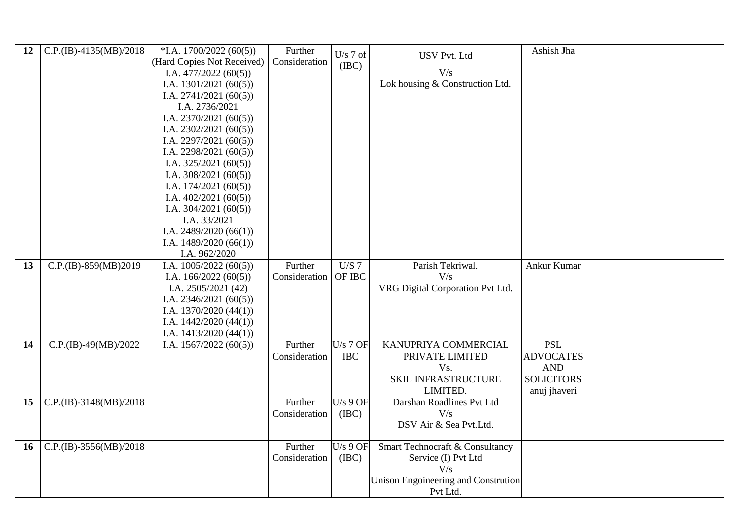| 12 | $C.P.(IB) -4135(MB)/2018$ | $*$ I.A. 1700/2022 (60(5)) | Further       | $U/s$ 7 of |                                     | Ashish Jha        |  |  |
|----|---------------------------|----------------------------|---------------|------------|-------------------------------------|-------------------|--|--|
|    |                           | (Hard Copies Not Received) | Consideration | (IBC)      | <b>USV Pvt. Ltd</b>                 |                   |  |  |
|    |                           | I.A. $477/2022(60(5))$     |               |            | V/s                                 |                   |  |  |
|    |                           | I.A. $1301/2021(60(5))$    |               |            | Lok housing & Construction Ltd.     |                   |  |  |
|    |                           | I.A. $2741/2021(60(5))$    |               |            |                                     |                   |  |  |
|    |                           | I.A. 2736/2021             |               |            |                                     |                   |  |  |
|    |                           | I.A. $2370/2021(60(5))$    |               |            |                                     |                   |  |  |
|    |                           | I.A. $2302/2021(60(5))$    |               |            |                                     |                   |  |  |
|    |                           | I.A. $2297/2021(60(5))$    |               |            |                                     |                   |  |  |
|    |                           | I.A. $2298/2021(60(5))$    |               |            |                                     |                   |  |  |
|    |                           | I.A. $325/2021(60(5))$     |               |            |                                     |                   |  |  |
|    |                           | I.A. $308/2021(60(5))$     |               |            |                                     |                   |  |  |
|    |                           | I.A. $174/2021(60(5))$     |               |            |                                     |                   |  |  |
|    |                           | I.A. $402/2021(60(5))$     |               |            |                                     |                   |  |  |
|    |                           | I.A. $304/2021(60(5))$     |               |            |                                     |                   |  |  |
|    |                           | I.A. 33/2021               |               |            |                                     |                   |  |  |
|    |                           | I.A. $2489/2020(66(1))$    |               |            |                                     |                   |  |  |
|    |                           | I.A. $1489/2020(66(1))$    |               |            |                                     |                   |  |  |
|    |                           | I.A. 962/2020              |               |            |                                     |                   |  |  |
| 13 | C.P.(IB)-859(MB)2019      | I.A. $1005/2022(60(5))$    | Further       | U/S 7      | Parish Tekriwal.                    | Ankur Kumar       |  |  |
|    |                           | I.A. $166/2022(60(5))$     | Consideration | OF IBC     | V/s                                 |                   |  |  |
|    |                           | I.A. $2505/2021(42)$       |               |            | VRG Digital Corporation Pvt Ltd.    |                   |  |  |
|    |                           | I.A. $2346/2021(60(5))$    |               |            |                                     |                   |  |  |
|    |                           | I.A. $1370/2020(44(1))$    |               |            |                                     |                   |  |  |
|    |                           | I.A. $1442/2020(44(1))$    |               |            |                                     |                   |  |  |
|    |                           | I.A. $1413/2020(44(1))$    |               |            |                                     |                   |  |  |
| 14 | $C.P.(IB)-49(MB)/2022$    | I.A. $1567/2022(60(5))$    | Further       | $U/s$ 7 OF | KANUPRIYA COMMERCIAL                | <b>PSL</b>        |  |  |
|    |                           |                            | Consideration | <b>IBC</b> | PRIVATE LIMITED                     | <b>ADVOCATES</b>  |  |  |
|    |                           |                            |               |            | Vs.                                 | <b>AND</b>        |  |  |
|    |                           |                            |               |            | SKIL INFRASTRUCTURE                 | <b>SOLICITORS</b> |  |  |
|    |                           |                            |               |            | LIMITED.                            | anuj jhaveri      |  |  |
| 15 | $C.P.(IB)-3148(MB)/2018$  |                            | Further       | $U/s$ 9 OF | Darshan Roadlines Pvt Ltd           |                   |  |  |
|    |                           |                            | Consideration | (IBC)      | V/s                                 |                   |  |  |
|    |                           |                            |               |            | DSV Air & Sea Pvt.Ltd.              |                   |  |  |
|    |                           |                            |               |            |                                     |                   |  |  |
| 16 | C.P.(IB)-3556(MB)/2018    |                            | Further       | $U/s$ 9 OF | Smart Technocraft & Consultancy     |                   |  |  |
|    |                           |                            | Consideration | (IBC)      | Service (I) Pvt Ltd                 |                   |  |  |
|    |                           |                            |               |            | V/s                                 |                   |  |  |
|    |                           |                            |               |            | Unison Engoineering and Constrution |                   |  |  |
|    |                           |                            |               |            | Pvt Ltd.                            |                   |  |  |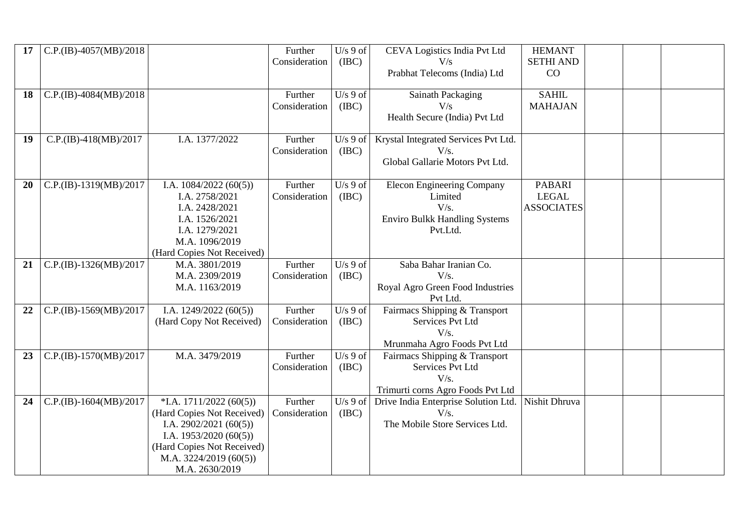| 17 | $C.P.(IB) -4057(MB)/2018$  |                                           | Further       | $U/s$ 9 of | CEVA Logistics India Pvt Ltd         | <b>HEMANT</b>     |  |  |
|----|----------------------------|-------------------------------------------|---------------|------------|--------------------------------------|-------------------|--|--|
|    |                            |                                           | Consideration | (IBC)      | V/s                                  | <b>SETHI AND</b>  |  |  |
|    |                            |                                           |               |            | Prabhat Telecoms (India) Ltd         | CO                |  |  |
|    |                            |                                           |               |            |                                      |                   |  |  |
| 18 | $C.P.(IB) - 4084(MB)/2018$ |                                           | Further       | $U/s$ 9 of | <b>Sainath Packaging</b>             | <b>SAHIL</b>      |  |  |
|    |                            |                                           | Consideration | (IBC)      | V/s                                  | <b>MAHAJAN</b>    |  |  |
|    |                            |                                           |               |            | Health Secure (India) Pvt Ltd        |                   |  |  |
|    |                            |                                           |               |            |                                      |                   |  |  |
| 19 | $C.P.(IB)-418(MB)/2017$    | I.A. 1377/2022                            | Further       | $U/s$ 9 of | Krystal Integrated Services Pvt Ltd. |                   |  |  |
|    |                            |                                           | Consideration | (IBC)      | V/s.                                 |                   |  |  |
|    |                            |                                           |               |            | Global Gallarie Motors Pvt Ltd.      |                   |  |  |
| 20 | C.P.(IB)-1319(MB)/2017     | I.A. $1084/2022(60(5))$                   | Further       | $U/s$ 9 of | <b>Elecon Engineering Company</b>    | <b>PABARI</b>     |  |  |
|    |                            | I.A. 2758/2021                            | Consideration | (IBC)      | Limited                              | <b>LEGAL</b>      |  |  |
|    |                            | I.A. 2428/2021                            |               |            | V/s.                                 | <b>ASSOCIATES</b> |  |  |
|    |                            | I.A. 1526/2021                            |               |            | <b>Enviro Bulkk Handling Systems</b> |                   |  |  |
|    |                            | I.A. 1279/2021                            |               |            | Pvt.Ltd.                             |                   |  |  |
|    |                            | M.A. 1096/2019                            |               |            |                                      |                   |  |  |
|    |                            | (Hard Copies Not Received)                |               |            |                                      |                   |  |  |
| 21 | $C.P.(IB)-1326(MB)/2017$   | M.A. 3801/2019                            | Further       | $U/s$ 9 of | Saba Bahar Iranian Co.               |                   |  |  |
|    |                            | M.A. 2309/2019                            | Consideration | (IBC)      | V/s.                                 |                   |  |  |
|    |                            | M.A. 1163/2019                            |               |            | Royal Agro Green Food Industries     |                   |  |  |
|    |                            |                                           |               |            | Pvt Ltd.                             |                   |  |  |
| 22 | $C.P.(IB)-1569(MB)/2017$   | I.A. $1249/2022(60(5))$                   | Further       | $U/s$ 9 of | Fairmacs Shipping & Transport        |                   |  |  |
|    |                            | (Hard Copy Not Received)                  | Consideration | (IBC)      | Services Pvt Ltd                     |                   |  |  |
|    |                            |                                           |               |            | V/s.                                 |                   |  |  |
|    |                            |                                           |               |            | Mrunmaha Agro Foods Pvt Ltd          |                   |  |  |
| 23 | $C.P.(IB)-1570(MB)/2017$   | M.A. 3479/2019                            | Further       | $U/s$ 9 of | Fairmacs Shipping & Transport        |                   |  |  |
|    |                            |                                           |               |            |                                      |                   |  |  |
|    |                            |                                           | Consideration | (IBC)      | Services Pvt Ltd                     |                   |  |  |
|    |                            |                                           |               |            | V/s.                                 |                   |  |  |
|    |                            |                                           |               |            | Trimurti corns Agro Foods Pvt Ltd    |                   |  |  |
| 24 | $C.P.(IB)-1604(MB)/2017$   | $*I.A. 1711/2022 (60(5))$                 | Further       | $U/s$ 9 of | Drive India Enterprise Solution Ltd. | Nishit Dhruva     |  |  |
|    |                            | (Hard Copies Not Received)                | Consideration | (IBC)      | V/s.                                 |                   |  |  |
|    |                            | I.A. $2902/2021(60(5))$                   |               |            | The Mobile Store Services Ltd.       |                   |  |  |
|    |                            | I.A. $1953/2020(60(5))$                   |               |            |                                      |                   |  |  |
|    |                            | (Hard Copies Not Received)                |               |            |                                      |                   |  |  |
|    |                            | M.A. $3224/2019(60(5))$<br>M.A. 2630/2019 |               |            |                                      |                   |  |  |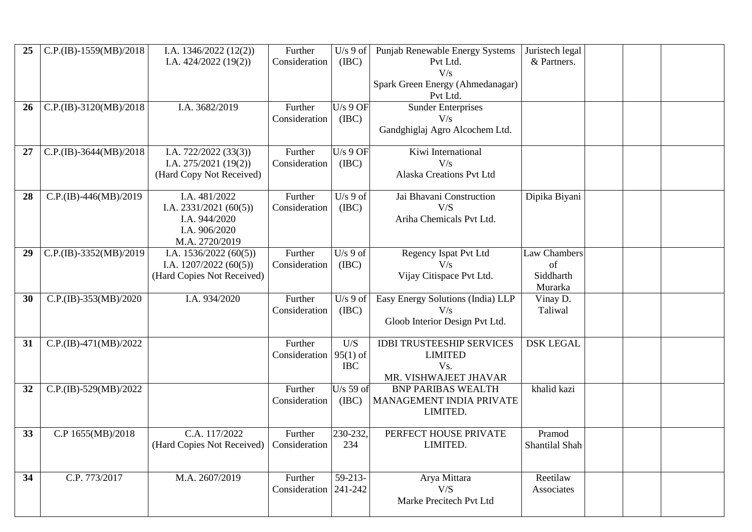| 25 | $C.P.(IB)-1559(MB)/2018$ | I.A. $1346/2022(12(2))$<br>I.A. $424/2022$ (19(2))                                           | Further<br>Consideration             | $U/s$ 9 of<br>(IBC)  | Punjab Renewable Energy Systems<br>Pvt Ltd.<br>V/s<br>Spark Green Energy (Ahmedanagar)<br>Pvt Ltd. | Juristech legal<br>& Partners.             |  |  |
|----|--------------------------|----------------------------------------------------------------------------------------------|--------------------------------------|----------------------|----------------------------------------------------------------------------------------------------|--------------------------------------------|--|--|
| 26 | $C.P.(IB)-3120(MB)/2018$ | I.A. 3682/2019                                                                               | Further<br>Consideration             | $U/s$ 9 OF<br>(IBC)  | <b>Sunder Enterprises</b><br>V/s<br>Gandghiglaj Agro Alcochem Ltd.                                 |                                            |  |  |
| 27 | $C.P.(IB)-3644(MB)/2018$ | I.A. $722/2022$ $(33(3))$<br>I.A. $275/2021(19(2))$<br>(Hard Copy Not Received)              | Further<br>Consideration             | $U/s$ 9 OF<br>(IBC)  | Kiwi International<br>V/s<br>Alaska Creations Pvt Ltd                                              |                                            |  |  |
| 28 | $C.P.(IB) -446(MB)/2019$ | I.A. 481/2022<br>I.A. $2331/2021(60(5))$<br>I.A. 944/2020<br>I.A. 906/2020<br>M.A. 2720/2019 | Further<br>Consideration             | $U/s$ 9 of<br>(IBC)  | Jai Bhavani Construction<br>V/S<br>Ariha Chemicals Pvt Ltd.                                        | Dipika Biyani                              |  |  |
| 29 | C.P.(IB)-3352(MB)/2019   | I.A. $1536/2022(60(5))$<br>I.A. $1207/2022(60(5))$<br>(Hard Copies Not Received)             | Further<br>Consideration             | $U/s$ 9 of<br>(IBC)  | Regency Ispat Pvt Ltd<br>V/s<br>Vijay Citispace Pvt Ltd.                                           | Law Chambers<br>of<br>Siddharth<br>Murarka |  |  |
| 30 | $C.P.(IB)-353(MB)/2020$  | I.A. 934/2020                                                                                | Further<br>Consideration             | $U/s$ 9 of<br>(ABC)  | Easy Energy Solutions (India) LLP<br>V/s<br>Gloob Interior Design Pvt Ltd.                         | Vinay D.<br>Taliwal                        |  |  |
| 31 | $C.P.(IB) -471(MB)/2022$ |                                                                                              | Further<br>Consideration $ 95(1)$ of | U/S<br><b>IBC</b>    | <b>IDBI TRUSTEESHIP SERVICES</b><br><b>LIMITED</b><br>Vs.<br>MR. VISHWAJEET JHAVAR                 | <b>DSK LEGAL</b>                           |  |  |
| 32 | C.P.(IB)-529(MB)/2022    |                                                                                              | Further<br>Consideration             | $U/s$ 59 of<br>(IBC) | <b>BNP PARIBAS WEALTH</b><br>MANAGEMENT INDIA PRIVATE<br>LIMITED.                                  | khalid kazi                                |  |  |
| 33 | C.P 1655(MB)/2018        | C.A. 117/2022<br>(Hard Copies Not Received)   Consideration                                  | Further                              | 230-232,<br>234      | PERFECT HOUSE PRIVATE<br>LIMITED.                                                                  | Pramod<br>Shantilal Shah                   |  |  |
| 34 | C.P. 773/2017            | M.A. 2607/2019                                                                               | Further<br>Consideration 241-242     | 59-213-              | Arya Mittara<br>V/S<br>Marke Precitech Pvt Ltd                                                     | Reetilaw<br>Associates                     |  |  |